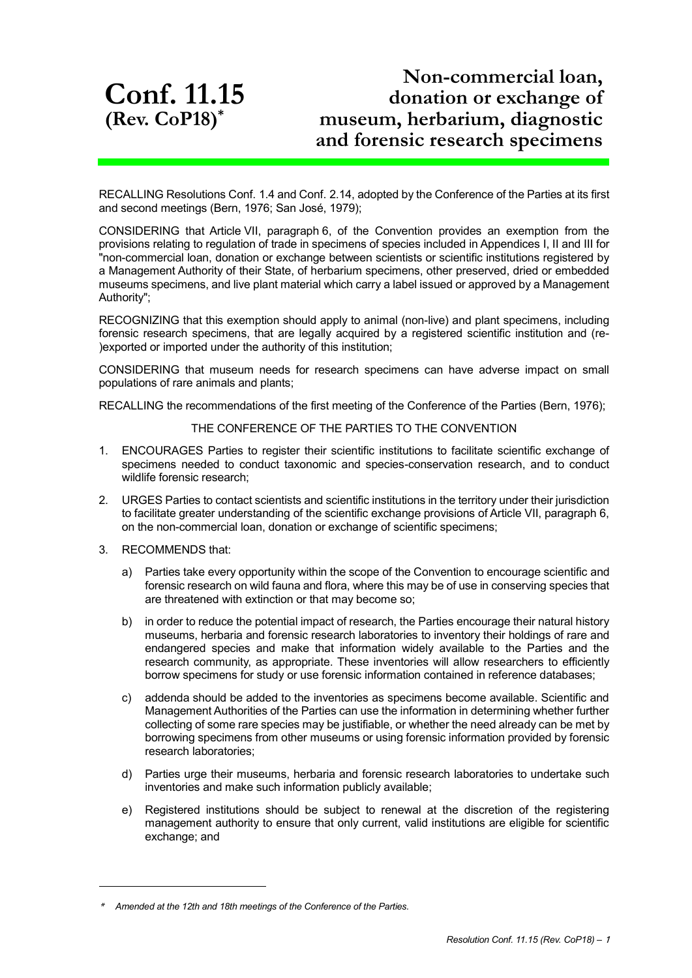**Conf. 11.15 (Rev. CoP18) \***

## **Non-commercial loan, donation or exchange of museum, herbarium, diagnostic and forensic research specimens**

RECALLING Resolutions Conf. 1.4 and Conf. 2.14, adopted by the Conference of the Parties at its first and second meetings (Bern, 1976; San José, 1979);

CONSIDERING that Article VII, paragraph 6, of the Convention provides an exemption from the provisions relating to regulation of trade in specimens of species included in Appendices I, II and III for "non-commercial loan, donation or exchange between scientists or scientific institutions registered by a Management Authority of their State, of herbarium specimens, other preserved, dried or embedded museums specimens, and live plant material which carry a label issued or approved by a Management Authority";

RECOGNIZING that this exemption should apply to animal (non-live) and plant specimens, including forensic research specimens, that are legally acquired by a registered scientific institution and (re- )exported or imported under the authority of this institution;

CONSIDERING that museum needs for research specimens can have adverse impact on small populations of rare animals and plants;

RECALLING the recommendations of the first meeting of the Conference of the Parties (Bern, 1976);

## THE CONFERENCE OF THE PARTIES TO THE CONVENTION

- 1. ENCOURAGES Parties to register their scientific institutions to facilitate scientific exchange of specimens needed to conduct taxonomic and species-conservation research, and to conduct wildlife forensic research;
- 2. URGES Parties to contact scientists and scientific institutions in the territory under their jurisdiction to facilitate greater understanding of the scientific exchange provisions of Article VII, paragraph 6, on the non-commercial loan, donation or exchange of scientific specimens;
- 3. RECOMMENDS that:

1

- a) Parties take every opportunity within the scope of the Convention to encourage scientific and forensic research on wild fauna and flora, where this may be of use in conserving species that are threatened with extinction or that may become so;
- b) in order to reduce the potential impact of research, the Parties encourage their natural history museums, herbaria and forensic research laboratories to inventory their holdings of rare and endangered species and make that information widely available to the Parties and the research community, as appropriate. These inventories will allow researchers to efficiently borrow specimens for study or use forensic information contained in reference databases;
- c) addenda should be added to the inventories as specimens become available. Scientific and Management Authorities of the Parties can use the information in determining whether further collecting of some rare species may be justifiable, or whether the need already can be met by borrowing specimens from other museums or using forensic information provided by forensic research laboratories;
- d) Parties urge their museums, herbaria and forensic research laboratories to undertake such inventories and make such information publicly available;
- e) Registered institutions should be subject to renewal at the discretion of the registering management authority to ensure that only current, valid institutions are eligible for scientific exchange; and

<sup>\*</sup>*Amended at the 12th and 18th meetings of the Conference of the Parties.*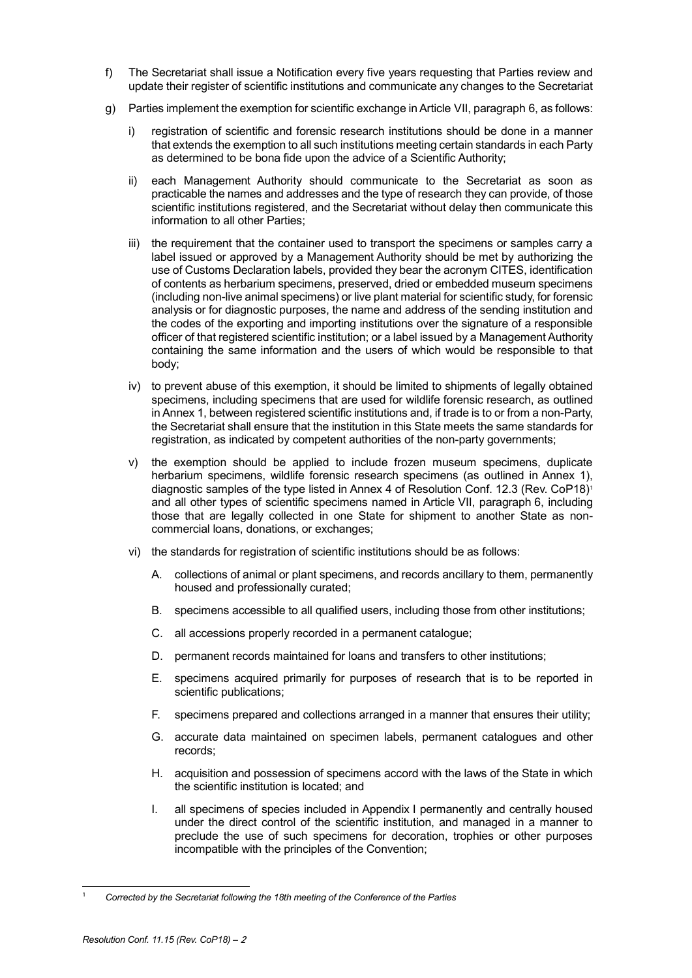- f) The Secretariat shall issue a Notification every five years requesting that Parties review and update their register of scientific institutions and communicate any changes to the Secretariat
- g) Parties implement the exemption for scientific exchange in Article VII, paragraph 6, as follows:
	- i) registration of scientific and forensic research institutions should be done in a manner that extends the exemption to all such institutions meeting certain standards in each Party as determined to be bona fide upon the advice of a Scientific Authority;
	- ii) each Management Authority should communicate to the Secretariat as soon as practicable the names and addresses and the type of research they can provide, of those scientific institutions registered, and the Secretariat without delay then communicate this information to all other Parties;
	- iii) the requirement that the container used to transport the specimens or samples carry a label issued or approved by a Management Authority should be met by authorizing the use of Customs Declaration labels, provided they bear the acronym CITES, identification of contents as herbarium specimens, preserved, dried or embedded museum specimens (including non-live animal specimens) or live plant material for scientific study, for forensic analysis or for diagnostic purposes, the name and address of the sending institution and the codes of the exporting and importing institutions over the signature of a responsible officer of that registered scientific institution; or a label issued by a Management Authority containing the same information and the users of which would be responsible to that body;
	- iv) to prevent abuse of this exemption, it should be limited to shipments of legally obtained specimens, including specimens that are used for wildlife forensic research, as outlined in Annex 1, between registered scientific institutions and, if trade is to or from a non-Party, the Secretariat shall ensure that the institution in this State meets the same standards for registration, as indicated by competent authorities of the non-party governments;
	- v) the exemption should be applied to include frozen museum specimens, duplicate herbarium specimens, wildlife forensic research specimens (as outlined in Annex 1), diagnostic samples of the type listed in Annex 4 of Resolution Conf. 12.3 (Rev. CoP18)<sup>1</sup> and all other types of scientific specimens named in Article VII, paragraph 6, including those that are legally collected in one State for shipment to another State as noncommercial loans, donations, or exchanges;
	- vi) the standards for registration of scientific institutions should be as follows:
		- A. collections of animal or plant specimens, and records ancillary to them, permanently housed and professionally curated;
		- B. specimens accessible to all qualified users, including those from other institutions;
		- C. all accessions properly recorded in a permanent catalogue;
		- D. permanent records maintained for loans and transfers to other institutions;
		- E. specimens acquired primarily for purposes of research that is to be reported in scientific publications;
		- F. specimens prepared and collections arranged in a manner that ensures their utility;
		- G. accurate data maintained on specimen labels, permanent catalogues and other records;
		- H. acquisition and possession of specimens accord with the laws of the State in which the scientific institution is located; and
		- I. all specimens of species included in Appendix I permanently and centrally housed under the direct control of the scientific institution, and managed in a manner to preclude the use of such specimens for decoration, trophies or other purposes incompatible with the principles of the Convention;

l

<sup>1</sup> *Corrected by the Secretariat following the 18th meeting of the Conference of the Parties*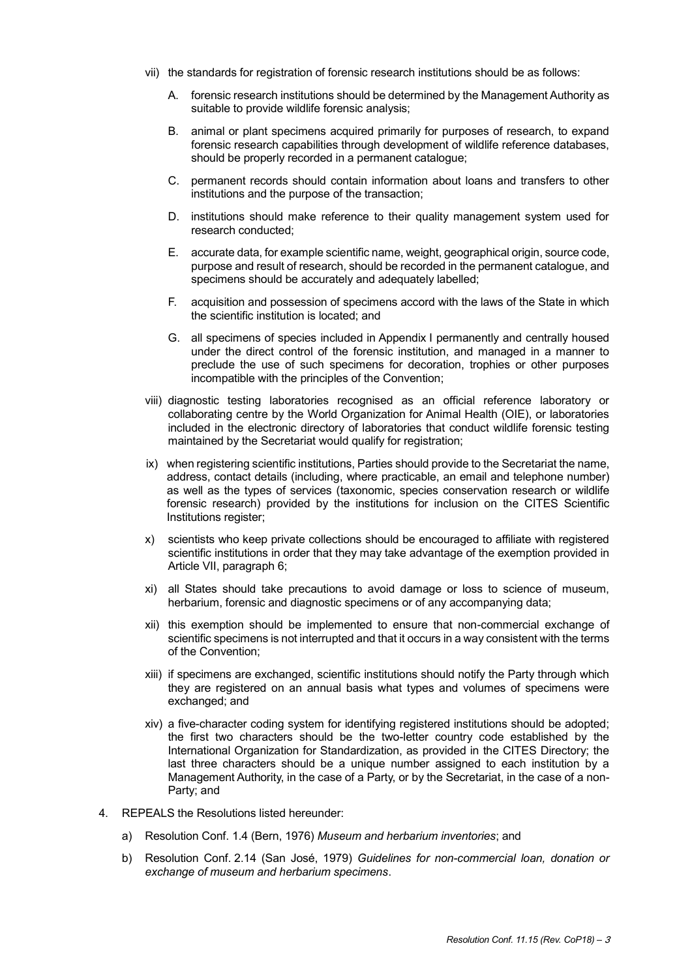- vii) the standards for registration of forensic research institutions should be as follows:
	- A. forensic research institutions should be determined by the Management Authority as suitable to provide wildlife forensic analysis;
	- B. animal or plant specimens acquired primarily for purposes of research, to expand forensic research capabilities through development of wildlife reference databases, should be properly recorded in a permanent catalogue;
	- C. permanent records should contain information about loans and transfers to other institutions and the purpose of the transaction;
	- D. institutions should make reference to their quality management system used for research conducted;
	- E. accurate data, for example scientific name, weight, geographical origin, source code, purpose and result of research, should be recorded in the permanent catalogue, and specimens should be accurately and adequately labelled;
	- F. acquisition and possession of specimens accord with the laws of the State in which the scientific institution is located; and
	- G. all specimens of species included in Appendix I permanently and centrally housed under the direct control of the forensic institution, and managed in a manner to preclude the use of such specimens for decoration, trophies or other purposes incompatible with the principles of the Convention;
- viii) diagnostic testing laboratories recognised as an official reference laboratory or collaborating centre by the World Organization for Animal Health (OIE), or laboratories included in the electronic directory of laboratories that conduct wildlife forensic testing maintained by the Secretariat would qualify for registration;
- ix) when registering scientific institutions, Parties should provide to the Secretariat the name, address, contact details (including, where practicable, an email and telephone number) as well as the types of services (taxonomic, species conservation research or wildlife forensic research) provided by the institutions for inclusion on the CITES Scientific Institutions register;
- x) scientists who keep private collections should be encouraged to affiliate with registered scientific institutions in order that they may take advantage of the exemption provided in Article VII, paragraph 6;
- xi) all States should take precautions to avoid damage or loss to science of museum, herbarium, forensic and diagnostic specimens or of any accompanying data;
- xii) this exemption should be implemented to ensure that non-commercial exchange of scientific specimens is not interrupted and that it occurs in a way consistent with the terms of the Convention;
- xiii) if specimens are exchanged, scientific institutions should notify the Party through which they are registered on an annual basis what types and volumes of specimens were exchanged; and
- xiv) a five-character coding system for identifying registered institutions should be adopted; the first two characters should be the two-letter country code established by the International Organization for Standardization, as provided in the CITES Directory; the last three characters should be a unique number assigned to each institution by a Management Authority, in the case of a Party, or by the Secretariat, in the case of a non-Party; and
- 4. REPEALS the Resolutions listed hereunder:
	- a) Resolution Conf. 1.4 (Bern, 1976) *Museum and herbarium inventories*; and
	- b) Resolution Conf. 2.14 (San José, 1979) *Guidelines for non-commercial loan, donation or exchange of museum and herbarium specimens*.